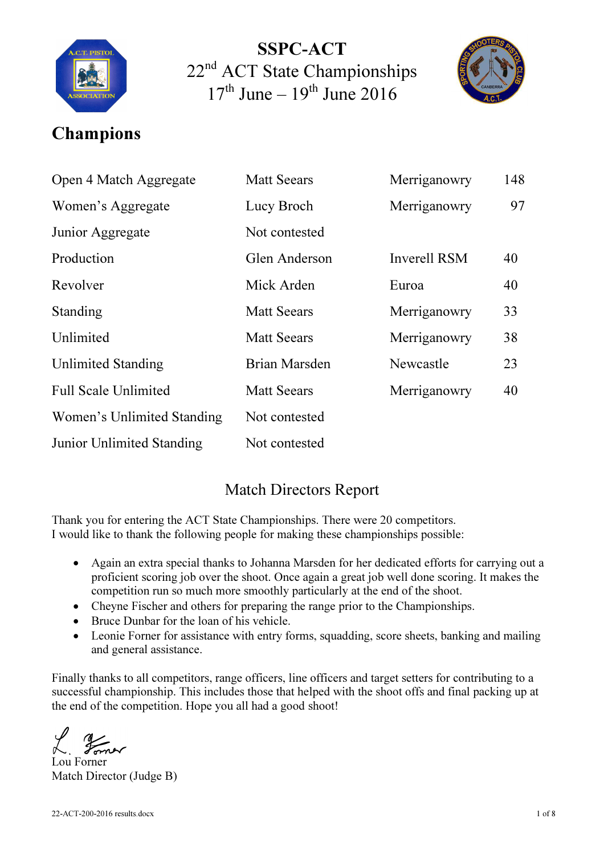

SSPC-ACT 22<sup>nd</sup> ACT State Championships  $17<sup>th</sup>$  June –  $19<sup>th</sup>$  June 2016



## Champions

| Open 4 Match Aggregate      | <b>Matt Seears</b> | Merriganowry        | 148 |
|-----------------------------|--------------------|---------------------|-----|
| Women's Aggregate           | Lucy Broch         | Merriganowry        | 97  |
| Junior Aggregate            | Not contested      |                     |     |
| Production                  | Glen Anderson      | <b>Inverell RSM</b> | 40  |
| Revolver                    | Mick Arden         | Euroa               | 40  |
| Standing                    | <b>Matt Seears</b> | Merriganowry        | 33  |
| Unlimited                   | <b>Matt Seears</b> | Merriganowry        | 38  |
| <b>Unlimited Standing</b>   | Brian Marsden      | Newcastle           | 23  |
| <b>Full Scale Unlimited</b> | <b>Matt Seears</b> | Merriganowry        | 40  |
| Women's Unlimited Standing  | Not contested      |                     |     |
| Junior Unlimited Standing   | Not contested      |                     |     |

#### Match Directors Report

Thank you for entering the ACT State Championships. There were 20 competitors. I would like to thank the following people for making these championships possible:

- Again an extra special thanks to Johanna Marsden for her dedicated efforts for carrying out a proficient scoring job over the shoot. Once again a great job well done scoring. It makes the competition run so much more smoothly particularly at the end of the shoot.
- Cheyne Fischer and others for preparing the range prior to the Championships.
- Bruce Dunbar for the loan of his vehicle.
- Leonie Forner for assistance with entry forms, squadding, score sheets, banking and mailing and general assistance.

Finally thanks to all competitors, range officers, line officers and target setters for contributing to a successful championship. This includes those that helped with the shoot offs and final packing up at the end of the competition. Hope you all had a good shoot!

 $\frac{1}{2}$ 

Lou Forner Match Director (Judge B)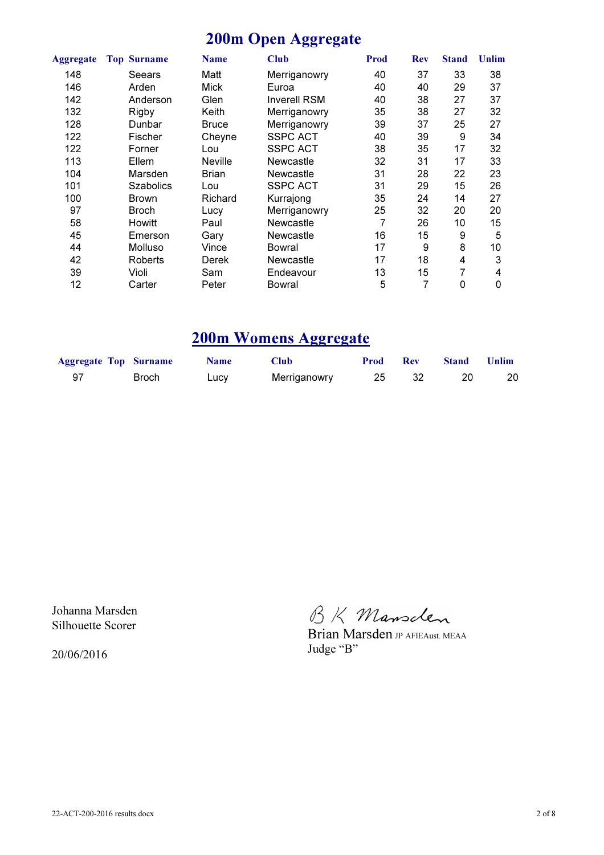### 200m Open Aggregate

| Aggregate | <b>Top Surname</b> | <b>Name</b>    | <b>Club</b>         | <b>Prod</b> | <b>Rev</b> | <b>Stand</b> | <b>Unlim</b> |
|-----------|--------------------|----------------|---------------------|-------------|------------|--------------|--------------|
| 148       | Seears             | Matt           | Merriganowry        | 40          | 37         | 33           | 38           |
| 146       | Arden              | <b>Mick</b>    | Euroa               | 40          | 40         | 29           | 37           |
| 142       | Anderson           | Glen           | <b>Inverell RSM</b> | 40          | 38         | 27           | 37           |
| 132       | Rigby              | Keith          | Merriganowry        | 35          | 38         | 27           | 32           |
| 128       | Dunbar             | <b>Bruce</b>   | Merriganowry        | 39          | 37         | 25           | 27           |
| 122       | Fischer            | Cheyne         | <b>SSPC ACT</b>     | 40          | 39         | 9            | 34           |
| 122       | Forner             | Lou            | <b>SSPC ACT</b>     | 38          | 35         | 17           | 32           |
| 113       | Ellem              | <b>Neville</b> | Newcastle           | 32          | 31         | 17           | 33           |
| 104       | Marsden            | <b>Brian</b>   | Newcastle           | 31          | 28         | 22           | 23           |
| 101       | <b>Szabolics</b>   | Lou            | <b>SSPC ACT</b>     | 31          | 29         | 15           | 26           |
| 100       | Brown              | Richard        | Kurrajong           | 35          | 24         | 14           | 27           |
| 97        | <b>Broch</b>       | Lucy           | Merriganowry        | 25          | 32         | 20           | 20           |
| 58        | <b>Howitt</b>      | Paul           | Newcastle           | 7           | 26         | 10           | 15           |
| 45        | Emerson            | Garv           | Newcastle           | 16          | 15         | 9            | 5            |
| 44        | Molluso            | Vince          | Bowral              | 17          | 9          | 8            | 10           |
| 42        | Roberts            | Derek          | Newcastle           | 17          | 18         | 4            | 3            |
| 39        | Violi              | Sam            | Endeavour           | 13          | 15         | 7            | 4            |
| 12        | Carter             | Peter          | Bowral              | 5           | 7          | 0            | 0            |

#### 200m Womens Aggregate

| <b>Aggregate Top Surname</b> |       | <b>Name</b> | <b>Club</b>  | <b>Prod</b> | <b>Rev</b> | <b>Stand</b> | Unlim |
|------------------------------|-------|-------------|--------------|-------------|------------|--------------|-------|
| -97                          | Broch | Lucy        | Merriganowry |             |            |              | 20    |

Johanna Marsden Silhouette Scorer

20/06/2016

BK Mansclen

Brian Marsden JP AFIEAust. MEAA Judge "B"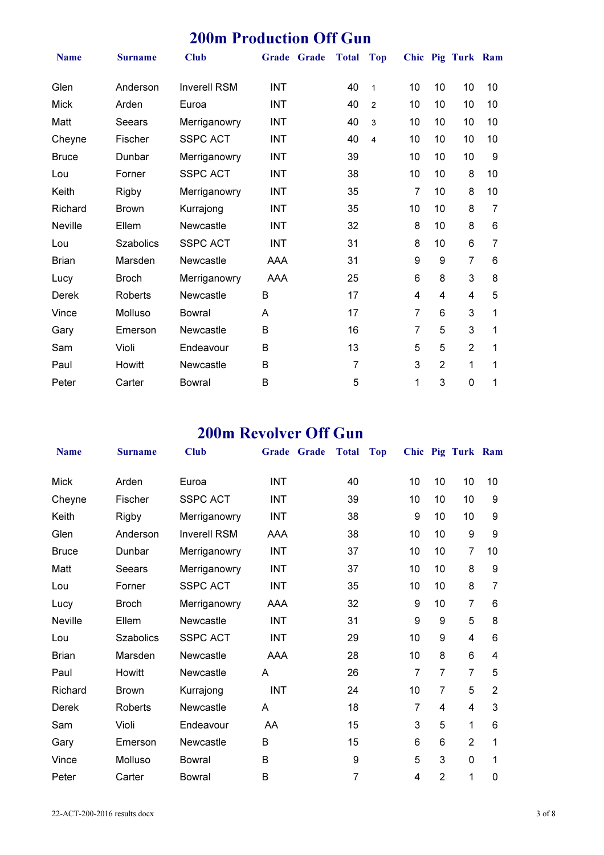## 200m Production Off Gun

| <b>Name</b>    | <b>Surname</b>   | <b>Club</b>         | Grade Grade | <b>Total</b> | <b>Top</b>     |                |                | Chic Pig Turk Ram |    |
|----------------|------------------|---------------------|-------------|--------------|----------------|----------------|----------------|-------------------|----|
| Glen           | Anderson         | <b>Inverell RSM</b> | <b>INT</b>  | 40           | $\mathbf{1}$   | 10             | 10             | 10                | 10 |
| <b>Mick</b>    | Arden            | Euroa               | <b>INT</b>  | 40           | $\overline{c}$ | 10             | 10             | 10                | 10 |
| Matt           | Seears           | Merriganowry        | <b>INT</b>  | 40           | 3              | 10             | 10             | 10                | 10 |
| Cheyne         | Fischer          | <b>SSPC ACT</b>     | <b>INT</b>  | 40           | 4              | 10             | 10             | 10                | 10 |
| <b>Bruce</b>   | Dunbar           | Merriganowry        | <b>INT</b>  | 39           |                | 10             | 10             | 10                | 9  |
| Lou            | Forner           | <b>SSPC ACT</b>     | <b>INT</b>  | 38           |                | 10             | 10             | 8                 | 10 |
| Keith          | Rigby            | Merriganowry        | <b>INT</b>  | 35           |                | 7              | 10             | 8                 | 10 |
| Richard        | <b>Brown</b>     | Kurrajong           | <b>INT</b>  | 35           |                | 10             | 10             | 8                 | 7  |
| <b>Neville</b> | Ellem            | Newcastle           | <b>INT</b>  | 32           |                | 8              | 10             | 8                 | 6  |
| Lou            | <b>Szabolics</b> | <b>SSPC ACT</b>     | <b>INT</b>  | 31           |                | 8              | 10             | 6                 | 7  |
| <b>Brian</b>   | Marsden          | <b>Newcastle</b>    | AAA         | 31           |                | 9              | 9              | 7                 | 6  |
| Lucy           | <b>Broch</b>     | Merriganowry        | <b>AAA</b>  | 25           |                | 6              | 8              | 3                 | 8  |
| <b>Derek</b>   | Roberts          | Newcastle           | B           | 17           |                | 4              | 4              | 4                 | 5  |
| Vince          | Molluso          | Bowral              | A           | 17           |                | $\overline{7}$ | 6              | 3                 | 1  |
| Gary           | Emerson          | Newcastle           | B           | 16           |                | 7              | 5              | 3                 | 1  |
| Sam            | Violi            | Endeavour           | B           | 13           |                | 5              | 5              | $\overline{2}$    | 1  |
| Paul           | Howitt           | Newcastle           | B           | 7            |                | 3              | $\overline{2}$ | 1                 | 1  |
| Peter          | Carter           | Bowral              | B           | 5            |                | 1              | 3              | 0                 | 1  |

## 200m Revolver Off Gun

| <b>Name</b>    | <b>Surname</b>   | <b>Club</b>         | Grade Grade | <b>Total</b>     | <b>Top</b> |    |                | Chic Pig Turk Ram |                |  |
|----------------|------------------|---------------------|-------------|------------------|------------|----|----------------|-------------------|----------------|--|
| <b>Mick</b>    | Arden            | Euroa               | <b>INT</b>  | 40               |            | 10 | 10             | 10                | 10             |  |
| Cheyne         | Fischer          | <b>SSPC ACT</b>     | <b>INT</b>  | 39               |            | 10 | 10             | 10                | 9              |  |
| Keith          | Rigby            | Merriganowry        | <b>INT</b>  | 38               |            | 9  | 10             | 10                | 9              |  |
| Glen           | Anderson         | <b>Inverell RSM</b> | AAA         | 38               |            | 10 | 10             | 9                 | 9              |  |
| <b>Bruce</b>   | Dunbar           | Merriganowry        | <b>INT</b>  | 37               |            | 10 | 10             | 7                 | 10             |  |
| Matt           | Seears           | Merriganowry        | <b>INT</b>  | 37               |            | 10 | 10             | 8                 | 9              |  |
| Lou            | Forner           | <b>SSPC ACT</b>     | <b>INT</b>  | 35               |            | 10 | 10             | 8                 | 7              |  |
| Lucy           | <b>Broch</b>     | Merriganowry        | AAA         | 32               |            | 9  | 10             | 7                 | 6              |  |
| <b>Neville</b> | Ellem            | Newcastle           | <b>INT</b>  | 31               |            | 9  | 9              | 5                 | 8              |  |
| Lou            | <b>Szabolics</b> | <b>SSPC ACT</b>     | <b>INT</b>  | 29               |            | 10 | 9              | 4                 | 6              |  |
| <b>Brian</b>   | Marsden          | Newcastle           | AAA         | 28               |            | 10 | 8              | 6                 | 4              |  |
| Paul           | Howitt           | Newcastle           | A           | 26               |            | 7  | 7              | $\overline{7}$    | 5              |  |
| Richard        | <b>Brown</b>     | Kurrajong           | <b>INT</b>  | 24               |            | 10 | 7              | 5                 | $\overline{2}$ |  |
| <b>Derek</b>   | Roberts          | Newcastle           | A           | 18               |            | 7  | 4              | 4                 | 3              |  |
| Sam            | Violi            | Endeavour           | AA          | 15               |            | 3  | 5              | 1                 | 6              |  |
| Gary           | Emerson          | <b>Newcastle</b>    | B           | 15               |            | 6  | 6              | $\overline{2}$    | 1              |  |
| Vince          | Molluso          | Bowral              | B           | $\boldsymbol{9}$ |            | 5  | 3              | $\mathbf 0$       | 1              |  |
| Peter          | Carter           | <b>Bowral</b>       | В           | 7                |            | 4  | $\overline{2}$ | 1                 | 0              |  |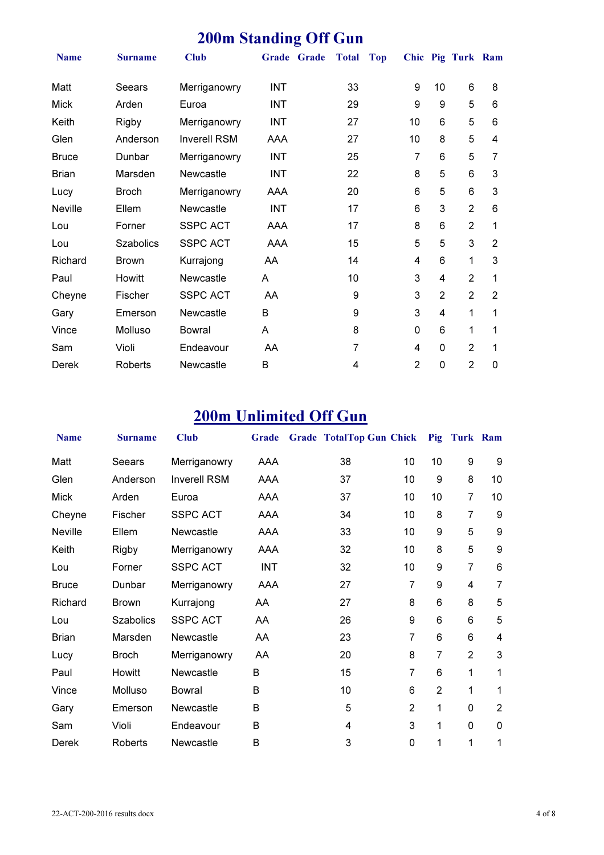## 200m Standing Off Gun

| <b>Name</b>    | <b>Surname</b>   | <b>Club</b>         | Grade Grade | <b>Total</b> | <b>Top</b> |                |                | Chic Pig Turk Ram |   |
|----------------|------------------|---------------------|-------------|--------------|------------|----------------|----------------|-------------------|---|
| Matt           | <b>Seears</b>    | Merriganowry        | <b>INT</b>  | 33           |            | 9              | 10             | 6                 | 8 |
| <b>Mick</b>    | Arden            | Euroa               | <b>INT</b>  | 29           |            | 9              | 9              | 5                 | 6 |
| Keith          | Rigby            | Merriganowry        | INT         | 27           |            | 10             | 6              | 5                 | 6 |
| Glen           | Anderson         | <b>Inverell RSM</b> | AAA         | 27           |            | 10             | 8              | 5                 | 4 |
| <b>Bruce</b>   | Dunbar           | Merriganowry        | <b>INT</b>  | 25           |            | 7              | 6              | 5                 | 7 |
| <b>Brian</b>   | Marsden          | <b>Newcastle</b>    | INT         | 22           |            | 8              | 5              | 6                 | 3 |
| Lucy           | <b>Broch</b>     | Merriganowry        | AAA         | 20           |            | 6              | 5              | 6                 | 3 |
| <b>Neville</b> | Ellem            | <b>Newcastle</b>    | <b>INT</b>  | 17           |            | 6              | 3              | $\overline{2}$    | 6 |
| Lou            | Forner           | <b>SSPC ACT</b>     | AAA         | 17           |            | 8              | 6              | $\overline{2}$    | 1 |
| Lou            | <b>Szabolics</b> | <b>SSPC ACT</b>     | AAA         | 15           |            | 5              | 5              | 3                 | 2 |
| Richard        | <b>Brown</b>     | Kurrajong           | AA          | 14           |            | 4              | 6              | 1                 | 3 |
| Paul           | <b>Howitt</b>    | Newcastle           | A           | 10           |            | 3              | 4              | $\overline{2}$    | 1 |
| Cheyne         | Fischer          | <b>SSPC ACT</b>     | AA          | 9            |            | 3              | $\overline{2}$ | $\overline{2}$    | 2 |
| Gary           | Emerson          | <b>Newcastle</b>    | B           | 9            |            | 3              | 4              | 1                 | 1 |
| Vince          | Molluso          | Bowral              | A           | 8            |            | 0              | 6              | 1                 | 1 |
| Sam            | Violi            | Endeavour           | AA          | 7            |            | 4              | 0              | $\overline{2}$    | 1 |
| Derek          | Roberts          | Newcastle           | B           | 4            |            | $\overline{2}$ | 0              | 2                 | 0 |

# 200m Unlimited Off Gun

| <b>Name</b>    | <b>Surname</b>   | <b>Club</b>         | Grade      | Grade TotalTop Gun Chick Pig Turk Ram |                |                |                |                  |
|----------------|------------------|---------------------|------------|---------------------------------------|----------------|----------------|----------------|------------------|
| Matt           | Seears           | Merriganowry        | AAA        | 38                                    | 10             | 10             | 9              | 9                |
| Glen           | Anderson         | <b>Inverell RSM</b> | AAA        | 37                                    | 10             | 9              | 8              | 10               |
| <b>Mick</b>    | Arden            | Euroa               | AAA        | 37                                    | 10             | 10             | 7              | 10               |
| Cheyne         | Fischer          | <b>SSPC ACT</b>     | AAA        | 34                                    | 10             | 8              | $\overline{7}$ | 9                |
| <b>Neville</b> | Ellem            | Newcastle           | AAA        | 33                                    | 10             | 9              | 5              | $\boldsymbol{9}$ |
| Keith          | Rigby            | Merriganowry        | AAA        | 32                                    | 10             | 8              | 5              | 9                |
| Lou            | Forner           | <b>SSPC ACT</b>     | <b>INT</b> | 32                                    | 10             | 9              | 7              | 6                |
| <b>Bruce</b>   | Dunbar           | Merriganowry        | AAA        | 27                                    | 7              | 9              | 4              | $\overline{7}$   |
| Richard        | <b>Brown</b>     | Kurrajong           | AA         | 27                                    | 8              | 6              | 8              | 5                |
| Lou            | <b>Szabolics</b> | <b>SSPC ACT</b>     | AA         | 26                                    | 9              | 6              | 6              | 5                |
| <b>Brian</b>   | Marsden          | <b>Newcastle</b>    | AA         | 23                                    | 7              | 6              | 6              | 4                |
| Lucy           | <b>Broch</b>     | Merriganowry        | AA         | 20                                    | 8              | 7              | $\overline{2}$ | 3                |
| Paul           | Howitt           | <b>Newcastle</b>    | B          | 15                                    | $\overline{7}$ | 6              | 1              | 1                |
| Vince          | Molluso          | Bowral              | B          | 10                                    | 6              | $\overline{2}$ | 1              | 1                |
| Gary           | Emerson          | Newcastle           | B          | 5                                     | $\overline{2}$ | 1              | 0              | $\overline{2}$   |
| Sam            | Violi            | Endeavour           | B          | 4                                     | 3              | 1              | 0              | 0                |
| Derek          | Roberts          | <b>Newcastle</b>    | B          | 3                                     | 0              | 1              | 1              | 1                |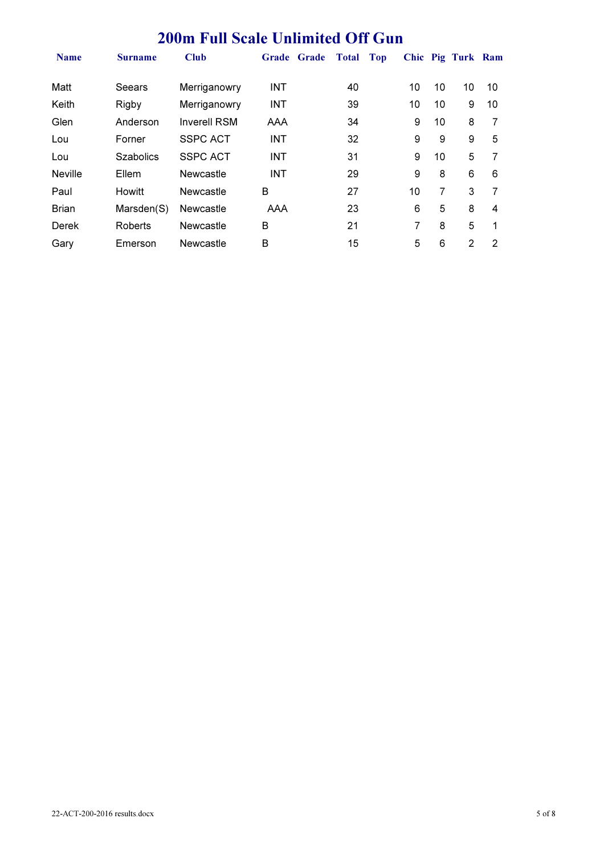### 200m Full Scale Unlimited Off Gun

| <b>Name</b>    | <b>Surname</b>   | Club                |            | Grade Grade | <b>Total</b> | Top |    |    | Chic Pig Turk Ram |    |
|----------------|------------------|---------------------|------------|-------------|--------------|-----|----|----|-------------------|----|
| Matt           | Seears           | Merriganowry        | <b>INT</b> |             | 40           |     | 10 | 10 | 10                | 10 |
| Keith          | Rigby            | Merriganowry        | <b>INT</b> |             | 39           |     | 10 | 10 | 9                 | 10 |
| Glen           | Anderson         | <b>Inverell RSM</b> | AAA        |             | 34           |     | 9  | 10 | 8                 | 7  |
| Lou            | Forner           | <b>SSPC ACT</b>     | <b>INT</b> |             | 32           |     | 9  | 9  | 9                 | 5  |
| Lou            | <b>Szabolics</b> | <b>SSPC ACT</b>     | <b>INT</b> |             | 31           |     | 9  | 10 | 5                 |    |
| <b>Neville</b> | Ellem            | Newcastle           | <b>INT</b> |             | 29           |     | 9  | 8  | 6                 | 6  |
| Paul           | <b>Howitt</b>    | <b>Newcastle</b>    | B          |             | 27           |     | 10 | 7  | 3                 | 7  |
| <b>Brian</b>   | Marsden(S)       | Newcastle           | AAA        |             | 23           |     | 6  | 5  | 8                 | 4  |
| Derek          | Roberts          | Newcastle           | B          |             | 21           |     | 7  | 8  | 5                 | 1  |
| Gary           | Emerson          | Newcastle           | B          |             | 15           |     | 5  | 6  | 2                 | 2  |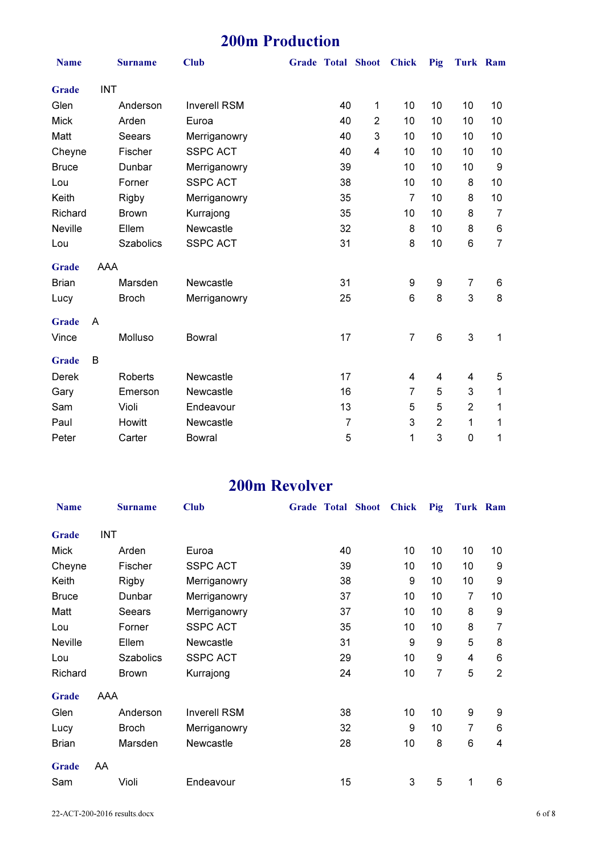## 200m Production

| <b>Name</b>    |            | <b>Surname</b>   | <b>Club</b>         |                | Grade Total Shoot Chick |                | Pig            | <b>Turk Ram</b> |                |
|----------------|------------|------------------|---------------------|----------------|-------------------------|----------------|----------------|-----------------|----------------|
| Grade          | <b>INT</b> |                  |                     |                |                         |                |                |                 |                |
| Glen           |            | Anderson         | <b>Inverell RSM</b> | 40             | 1                       | 10             | 10             | 10              | 10             |
| <b>Mick</b>    |            | Arden            | Euroa               | 40             | $\overline{2}$          | 10             | 10             | 10              | 10             |
| Matt           |            | <b>Seears</b>    | Merriganowry        | 40             | $\mathbf{3}$            | 10             | 10             | 10              | 10             |
| Cheyne         |            | Fischer          | <b>SSPC ACT</b>     | 40             | 4                       | 10             | 10             | 10              | 10             |
| <b>Bruce</b>   |            | Dunbar           | Merriganowry        | 39             |                         | 10             | 10             | 10              | 9              |
| Lou            |            | Forner           | <b>SSPC ACT</b>     | 38             |                         | 10             | 10             | 8               | 10             |
| Keith          |            | <b>Rigby</b>     | Merriganowry        | 35             |                         | $\overline{7}$ | 10             | 8               | 10             |
| Richard        |            | <b>Brown</b>     | Kurrajong           | 35             |                         | 10             | 10             | 8               | $\overline{7}$ |
| <b>Neville</b> |            | Ellem            | Newcastle           | 32             |                         | 8              | 10             | 8               | 6              |
| Lou            |            | <b>Szabolics</b> | <b>SSPC ACT</b>     | 31             |                         | 8              | 10             | 6               | $\overline{7}$ |
| Grade          | AAA        |                  |                     |                |                         |                |                |                 |                |
| <b>Brian</b>   |            | Marsden          | Newcastle           | 31             |                         | 9              | 9              | 7               | 6              |
| Lucy           |            | <b>Broch</b>     | Merriganowry        | 25             |                         | 6              | 8              | 3               | 8              |
| Grade          | A          |                  |                     |                |                         |                |                |                 |                |
| Vince          |            | Molluso          | <b>Bowral</b>       | 17             |                         | $\overline{7}$ | 6              | 3               | 1              |
| <b>Grade</b>   | B          |                  |                     |                |                         |                |                |                 |                |
| <b>Derek</b>   |            | <b>Roberts</b>   | Newcastle           | 17             |                         | 4              | 4              | 4               | 5              |
| Gary           |            | Emerson          | Newcastle           | 16             |                         | $\overline{7}$ | 5              | 3               | 1              |
| Sam            |            | Violi            | Endeavour           | 13             |                         | 5              | 5              | $\overline{2}$  | 1              |
| Paul           |            | Howitt           | Newcastle           | $\overline{7}$ |                         | 3              | $\overline{2}$ | 1               | 1              |
| Peter          |            | Carter           | <b>Bowral</b>       | 5              |                         | 1              | 3              | $\mathsf 0$     | 1              |

#### 200m Revolver

| <b>Name</b>  |     | <b>Surname</b>   | <b>Club</b>         | <b>Grade Total Shoot</b> | <b>Chick</b> | Pig | Turk Ram |                |
|--------------|-----|------------------|---------------------|--------------------------|--------------|-----|----------|----------------|
| Grade        | INT |                  |                     |                          |              |     |          |                |
| <b>Mick</b>  |     | Arden            | Euroa               | 40                       | 10           | 10  | 10       | 10             |
| Cheyne       |     | Fischer          | <b>SSPC ACT</b>     | 39                       | 10           | 10  | 10       | 9              |
| Keith        |     | Rigby            | Merriganowry        | 38                       | 9            | 10  | 10       | 9              |
| <b>Bruce</b> |     | Dunbar           | Merriganowry        | 37                       | 10           | 10  | 7        | 10             |
| Matt         |     | Seears           | Merriganowry        | 37                       | 10           | 10  | 8        | 9              |
| Lou          |     | Forner           | <b>SSPC ACT</b>     | 35                       | 10           | 10  | 8        | 7              |
| Neville      |     | Ellem            | Newcastle           | 31                       | 9            | 9   | 5        | 8              |
| Lou          |     | <b>Szabolics</b> | <b>SSPC ACT</b>     | 29                       | 10           | 9   | 4        | 6              |
| Richard      |     | <b>Brown</b>     | Kurrajong           | 24                       | 10           | 7   | 5        | $\overline{2}$ |
| Grade        | AAA |                  |                     |                          |              |     |          |                |
| Glen         |     | Anderson         | <b>Inverell RSM</b> | 38                       | 10           | 10  | 9        | 9              |
| Lucy         |     | <b>Broch</b>     | Merriganowry        | 32                       | 9            | 10  | 7        | 6              |
| <b>Brian</b> |     | Marsden          | Newcastle           | 28                       | 10           | 8   | 6        | 4              |
| Grade        | AA  |                  |                     |                          |              |     |          |                |
| Sam          |     | Violi            | Endeavour           | 15                       | 3            | 5   | 1        | 6              |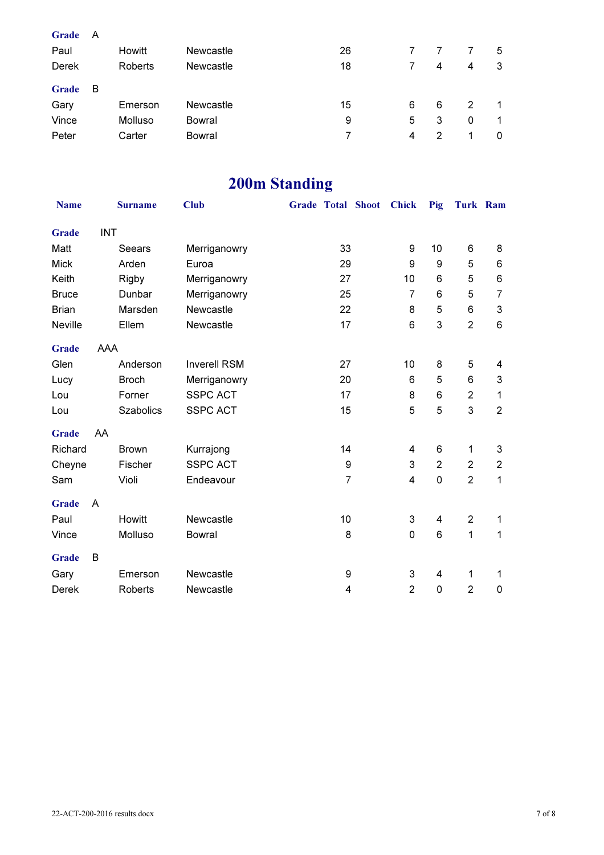| Grade | A |         |           |    |   |   |   |   |
|-------|---|---------|-----------|----|---|---|---|---|
| Paul  |   | Howitt  | Newcastle | 26 |   |   | 7 | 5 |
| Derek |   | Roberts | Newcastle | 18 | 7 | 4 | 4 | 3 |
| Grade | В |         |           |    |   |   |   |   |
| Gary  |   | Emerson | Newcastle | 15 | 6 | 6 | 2 | 1 |
| Vince |   | Molluso | Bowral    | 9  | 5 | 3 | 0 | 1 |
| Peter |   | Carter  | Bowral    |    | 4 | 2 | 1 | 0 |
|       |   |         |           |    |   |   |   |   |

## 200m Standing

| <b>Name</b>    |            | <b>Surname</b>   | <b>Club</b>         |                         | Grade Total Shoot Chick |                | Pig            | Turk Ram       |                |
|----------------|------------|------------------|---------------------|-------------------------|-------------------------|----------------|----------------|----------------|----------------|
| Grade          | <b>INT</b> |                  |                     |                         |                         |                |                |                |                |
| Matt           |            | Seears           | Merriganowry        | 33                      |                         | 9              | 10             | 6              | 8              |
| <b>Mick</b>    |            | Arden            | Euroa               | 29                      |                         | 9              | 9              | 5              | 6              |
| Keith          |            | Rigby            | Merriganowry        | 27                      |                         | 10             | 6              | 5              | 6              |
| <b>Bruce</b>   |            | Dunbar           | Merriganowry        | 25                      |                         | 7              | 6              | 5              | 7              |
| <b>Brian</b>   |            | Marsden          | Newcastle           | 22                      |                         | 8              | 5              | 6              | 3              |
| <b>Neville</b> |            | Ellem            | Newcastle           | 17                      |                         | 6              | 3              | $\overline{2}$ | 6              |
| Grade          | AAA        |                  |                     |                         |                         |                |                |                |                |
| Glen           |            | Anderson         | <b>Inverell RSM</b> | 27                      |                         | 10             | 8              | 5              | 4              |
| Lucy           |            | <b>Broch</b>     | Merriganowry        | 20                      |                         | 6              | 5              | 6              | 3              |
| Lou            |            | Forner           | <b>SSPC ACT</b>     | 17                      |                         | 8              | 6              | $\overline{2}$ | 1              |
| Lou            |            | <b>Szabolics</b> | <b>SSPC ACT</b>     | 15                      |                         | 5              | 5              | 3              | $\overline{2}$ |
| <b>Grade</b>   | AA         |                  |                     |                         |                         |                |                |                |                |
| Richard        |            | <b>Brown</b>     | Kurrajong           | 14                      |                         | 4              | 6              | 1              | 3              |
| Cheyne         |            | Fischer          | <b>SSPC ACT</b>     | 9                       |                         | 3              | $\overline{2}$ | $\overline{2}$ | $\overline{2}$ |
| Sam            |            | Violi            | Endeavour           | $\overline{7}$          |                         | 4              | $\mathbf 0$    | $\overline{2}$ | 1              |
| Grade          | A          |                  |                     |                         |                         |                |                |                |                |
| Paul           |            | Howitt           | Newcastle           | 10                      |                         | 3              | 4              | $\overline{2}$ | 1              |
| Vince          |            | Molluso          | <b>Bowral</b>       | 8                       |                         | 0              | 6              | 1              | 1              |
| Grade          | B          |                  |                     |                         |                         |                |                |                |                |
| Gary           |            | Emerson          | Newcastle           | 9                       |                         | 3              | 4              | 1              | 1              |
| <b>Derek</b>   |            | Roberts          | Newcastle           | $\overline{\mathbf{4}}$ |                         | $\overline{2}$ | $\mathbf 0$    | $\overline{2}$ | 0              |